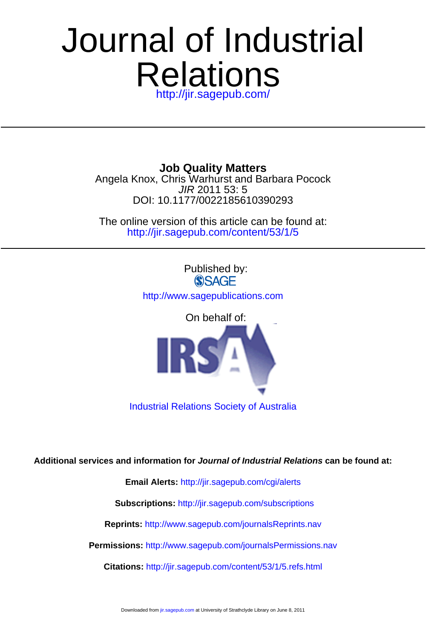# Relations <http://jir.sagepub.com/> Journal of Industrial

DOI: 10.1177/0022185610390293 JIR 2011 53: 5 Angela Knox, Chris Warhurst and Barbara Pocock **Job Quality Matters**

<http://jir.sagepub.com/content/53/1/5> The online version of this article can be found at:



[Industrial Relations Society of Australia](http://www.irsa.asn.au/)

**Additional services and information for Journal of Industrial Relations can be found at:**

**Email Alerts:** <http://jir.sagepub.com/cgi/alerts>

**Subscriptions:** <http://jir.sagepub.com/subscriptions>

**Reprints:** <http://www.sagepub.com/journalsReprints.nav>

**Permissions:** <http://www.sagepub.com/journalsPermissions.nav>

**Citations:** <http://jir.sagepub.com/content/53/1/5.refs.html>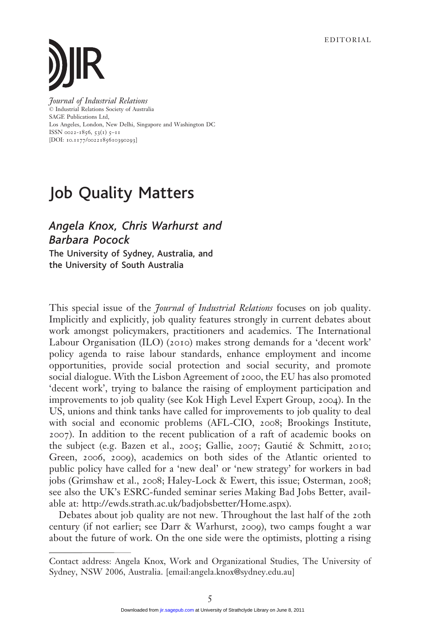EDITORIAL



Journal of Industrial Relations - Industrial Relations Society of Australia SAGE Publications Ltd, Los Angeles, London, New Delhi, Singapore and Washington DC ISSN 0022-1856, 53(1) 5–11 [DOI: 10.1177/0022185610390293]

# Job Quality Matters

Angela Knox, Chris Warhurst and Barbara Pocock

The University of Sydney, Australia, and the University of South Australia

This special issue of the *Journal of Industrial Relations* focuses on job quality. Implicitly and explicitly, job quality features strongly in current debates about work amongst policymakers, practitioners and academics. The International Labour Organisation (ILO) (2010) makes strong demands for a 'decent work' policy agenda to raise labour standards, enhance employment and income opportunities, provide social protection and social security, and promote social dialogue. With the Lisbon Agreement of 2000, the EU has also promoted 'decent work', trying to balance the raising of employment participation and improvements to job quality (see Kok High Level Expert Group, 2004). In the US, unions and think tanks have called for improvements to job quality to deal with social and economic problems (AFL-CIO, 2008; Brookings Institute, 2007). In addition to the recent publication of a raft of academic books on the subject (e.g. Bazen et al., 2005; Gallie, 2007; Gautié & Schmitt, 2010; Green, 2006, 2009), academics on both sides of the Atlantic oriented to public policy have called for a 'new deal' or 'new strategy' for workers in bad jobs (Grimshaw et al., 2008; Haley-Lock & Ewert, this issue; Osterman, 2008; see also the UK's ESRC-funded seminar series Making Bad Jobs Better, available at: http://ewds.strath.ac.uk/badjobsbetter/Home.aspx).

Debates about job quality are not new. Throughout the last half of the 20th century (if not earlier; see Darr & Warhurst, 2009), two camps fought a war about the future of work. On the one side were the optimists, plotting a rising

Contact address: Angela Knox, Work and Organizational Studies, The University of Sydney, NSW 2006, Australia. [email:angela.knox@sydney.edu.au]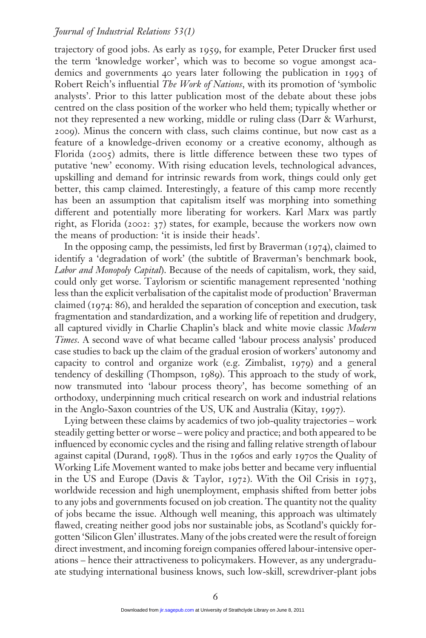#### Journal of Industrial Relations 53(1)

trajectory of good jobs. As early as 1959, for example, Peter Drucker first used the term 'knowledge worker', which was to become so vogue amongst academics and governments 40 years later following the publication in 1993 of Robert Reich's influential The Work of Nations, with its promotion of 'symbolic analysts'. Prior to this latter publication most of the debate about these jobs centred on the class position of the worker who held them; typically whether or not they represented a new working, middle or ruling class (Darr & Warhurst, 2009). Minus the concern with class, such claims continue, but now cast as a feature of a knowledge-driven economy or a creative economy, although as Florida (2005) admits, there is little difference between these two types of putative 'new' economy. With rising education levels, technological advances, upskilling and demand for intrinsic rewards from work, things could only get better, this camp claimed. Interestingly, a feature of this camp more recently has been an assumption that capitalism itself was morphing into something different and potentially more liberating for workers. Karl Marx was partly right, as Florida (2002: 37) states, for example, because the workers now own the means of production: 'it is inside their heads'.

In the opposing camp, the pessimists, led first by Braverman (1974), claimed to identify a 'degradation of work' (the subtitle of Braverman's benchmark book, Labor and Monopoly Capital). Because of the needs of capitalism, work, they said, could only get worse. Taylorism or scientific management represented 'nothing less than the explicit verbalisation of the capitalist mode of production' Braverman claimed (1974: 86), and heralded the separation of conception and execution, task fragmentation and standardization, and a working life of repetition and drudgery, all captured vividly in Charlie Chaplin's black and white movie classic Modern Times. A second wave of what became called 'labour process analysis' produced case studies to back up the claim of the gradual erosion of workers' autonomy and capacity to control and organize work (e.g. Zimbalist, 1979) and a general tendency of deskilling (Thompson, 1989). This approach to the study of work, now transmuted into 'labour process theory', has become something of an orthodoxy, underpinning much critical research on work and industrial relations in the Anglo-Saxon countries of the US, UK and Australia (Kitay, 1997).

Lying between these claims by academics of two job-quality trajectories – work steadily getting better or worse – were policy and practice; and both appeared to be influenced by economic cycles and the rising and falling relative strength of labour against capital (Durand, 1998). Thus in the 1960s and early 1970s the Quality of Working Life Movement wanted to make jobs better and became very influential in the US and Europe (Davis & Taylor, 1972). With the Oil Crisis in 1973, worldwide recession and high unemployment, emphasis shifted from better jobs to any jobs and governments focused on job creation. The quantity not the quality of jobs became the issue. Although well meaning, this approach was ultimately flawed, creating neither good jobs nor sustainable jobs, as Scotland's quickly forgotten 'Silicon Glen' illustrates. Many of the jobs created were the result of foreign direct investment, and incoming foreign companies offered labour-intensive operations – hence their attractiveness to policymakers. However, as any undergraduate studying international business knows, such low-skill, screwdriver-plant jobs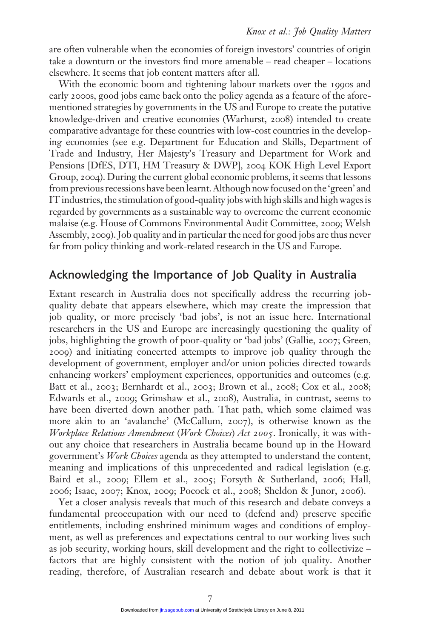are often vulnerable when the economies of foreign investors' countries of origin take a downturn or the investors find more amenable – read cheaper – locations elsewhere. It seems that job content matters after all.

With the economic boom and tightening labour markets over the 1990s and early 2000s, good jobs came back onto the policy agenda as a feature of the aforementioned strategies by governments in the US and Europe to create the putative knowledge-driven and creative economies (Warhurst, 2008) intended to create comparative advantage for these countries with low-cost countries in the developing economies (see e.g. Department for Education and Skills, Department of Trade and Industry, Her Majesty's Treasury and Department for Work and Pensions [DfES, DTI, HM Treasury & DWP], 2004 KOK High Level Export Group, 2004). During the current global economic problems, it seems that lessons from previous recessions have been learnt. Although now focused on the 'green' and IT industries, the stimulation of good-quality jobs with high skills and high wages is regarded by governments as a sustainable way to overcome the current economic malaise (e.g. House of Commons Environmental Audit Committee, 2009; Welsh Assembly, 2009). Job quality and in particular the need for good jobs are thus never far from policy thinking and work-related research in the US and Europe.

# Acknowledging the Importance of Job Quality in Australia

Extant research in Australia does not specifically address the recurring jobquality debate that appears elsewhere, which may create the impression that job quality, or more precisely 'bad jobs', is not an issue here. International researchers in the US and Europe are increasingly questioning the quality of jobs, highlighting the growth of poor-quality or 'bad jobs' (Gallie, 2007; Green, 2009) and initiating concerted attempts to improve job quality through the development of government, employer and/or union policies directed towards enhancing workers' employment experiences, opportunities and outcomes (e.g. Batt et al., 2003; Bernhardt et al., 2003; Brown et al., 2008; Cox et al., 2008; Edwards et al., 2009; Grimshaw et al., 2008), Australia, in contrast, seems to have been diverted down another path. That path, which some claimed was more akin to an 'avalanche' (McCallum, 2007), is otherwise known as the Workplace Relations Amendment (Work Choices) Act 2005. Ironically, it was without any choice that researchers in Australia became bound up in the Howard government's Work Choices agenda as they attempted to understand the content, meaning and implications of this unprecedented and radical legislation (e.g. Baird et al., 2009; Ellem et al., 2005; Forsyth & Sutherland, 2006; Hall, 2006; Isaac, 2007; Knox, 2009; Pocock et al., 2008; Sheldon & Junor, 2006).

Yet a closer analysis reveals that much of this research and debate conveys a fundamental preoccupation with our need to (defend and) preserve specific entitlements, including enshrined minimum wages and conditions of employment, as well as preferences and expectations central to our working lives such as job security, working hours, skill development and the right to collectivize – factors that are highly consistent with the notion of job quality. Another reading, therefore, of Australian research and debate about work is that it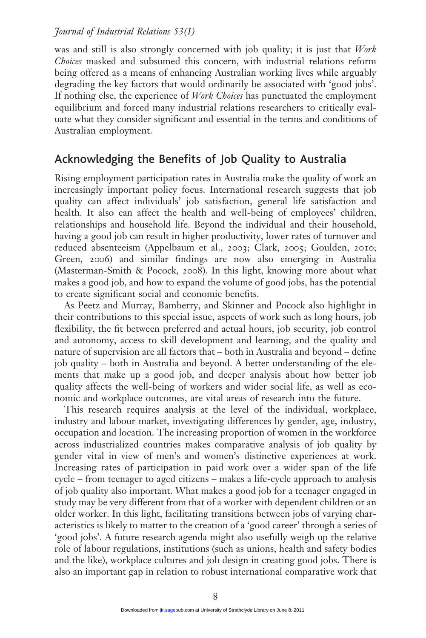#### Journal of Industrial Relations 53(1)

was and still is also strongly concerned with job quality; it is just that Work Choices masked and subsumed this concern, with industrial relations reform being offered as a means of enhancing Australian working lives while arguably degrading the key factors that would ordinarily be associated with 'good jobs'. If nothing else, the experience of *Work Choices* has punctuated the employment equilibrium and forced many industrial relations researchers to critically evaluate what they consider significant and essential in the terms and conditions of Australian employment.

## Acknowledging the Benefits of Job Quality to Australia

Rising employment participation rates in Australia make the quality of work an increasingly important policy focus. International research suggests that job quality can affect individuals' job satisfaction, general life satisfaction and health. It also can affect the health and well-being of employees' children, relationships and household life. Beyond the individual and their household, having a good job can result in higher productivity, lower rates of turnover and reduced absenteeism (Appelbaum et al., 2003; Clark, 2005; Goulden, 2010; Green, 2006) and similar findings are now also emerging in Australia (Masterman-Smith & Pocock, 2008). In this light, knowing more about what makes a good job, and how to expand the volume of good jobs, has the potential to create significant social and economic benefits.

As Peetz and Murray, Bamberry, and Skinner and Pocock also highlight in their contributions to this special issue, aspects of work such as long hours, job flexibility, the fit between preferred and actual hours, job security, job control and autonomy, access to skill development and learning, and the quality and nature of supervision are all factors that – both in Australia and beyond – define job quality – both in Australia and beyond. A better understanding of the elements that make up a good job, and deeper analysis about how better job quality affects the well-being of workers and wider social life, as well as economic and workplace outcomes, are vital areas of research into the future.

This research requires analysis at the level of the individual, workplace, industry and labour market, investigating differences by gender, age, industry, occupation and location. The increasing proportion of women in the workforce across industrialized countries makes comparative analysis of job quality by gender vital in view of men's and women's distinctive experiences at work. Increasing rates of participation in paid work over a wider span of the life cycle – from teenager to aged citizens – makes a life-cycle approach to analysis of job quality also important. What makes a good job for a teenager engaged in study may be very different from that of a worker with dependent children or an older worker. In this light, facilitating transitions between jobs of varying characteristics is likely to matter to the creation of a 'good career' through a series of 'good jobs'. A future research agenda might also usefully weigh up the relative role of labour regulations, institutions (such as unions, health and safety bodies and the like), workplace cultures and job design in creating good jobs. There is also an important gap in relation to robust international comparative work that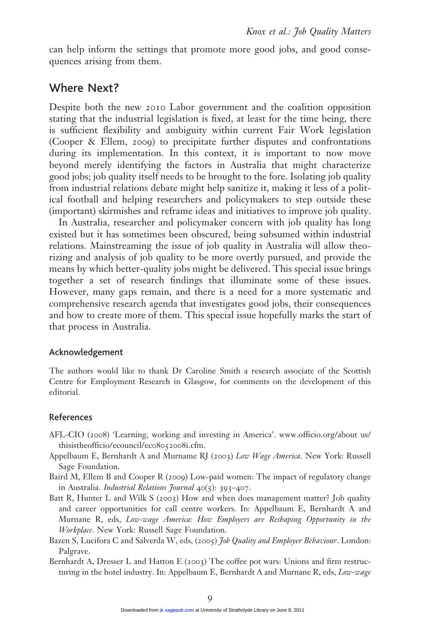can help inform the settings that promote more good jobs, and good consequences arising from them.

### Where Next?

Despite both the new 2010 Labor government and the coalition opposition stating that the industrial legislation is fixed, at least for the time being, there is sufficient flexibility and ambiguity within current Fair Work legislation (Cooper & Ellem, 2009) to precipitate further disputes and confrontations during its implementation. In this context, it is important to now move beyond merely identifying the factors in Australia that might characterize good jobs; job quality itself needs to be brought to the fore. Isolating job quality from industrial relations debate might help sanitize it, making it less of a political football and helping researchers and policymakers to step outside these (important) skirmishes and reframe ideas and initiatives to improve job quality.

In Australia, researcher and policymaker concern with job quality has long existed but it has sometimes been obscured, being subsumed within industrial relations. Mainstreaming the issue of job quality in Australia will allow theorizing and analysis of job quality to be more overtly pursued, and provide the means by which better-quality jobs might be delivered. This special issue brings together a set of research findings that illuminate some of these issues. However, many gaps remain, and there is a need for a more systematic and comprehensive research agenda that investigates good jobs, their consequences and how to create more of them. This special issue hopefully marks the start of that process in Australia.

#### Acknowledgement

The authors would like to thank Dr Caroline Smith a research associate of the Scottish Centre for Employment Research in Glasgow, for comments on the development of this editorial.

#### References

- AFL-CIO (2008) 'Learning, working and investing in America'. www.officio.org/about us/ thisistheofficio/ecouncil/ec08052008i.cfm.
- Appelbaum E, Bernhardt A and Murname RJ (2003) Low Wage America. New York: Russell Sage Foundation.
- Baird M, Ellem B and Cooper R (2009) Low-paid women: The impact of regulatory change in Australia. *Industrial Relations Journal* 40(5): 393-407.
- Batt R, Hunter L and Wilk S (2003) How and when does management matter? Job quality and career opportunities for call centre workers. In: Appelbaum E, Bernhardt A and Murnane R, eds, Low-wage America: How Employers are Reshaping Opportunity in the Workplace. New York: Russell Sage Foundation.
- Bazen S, Lucifora C and Salverda W, eds, (2005) Job Quality and Employer Behaviour. London: Palgrave.
- Bernhardt A, Dresser L and Hatton E (2003) The coffee pot wars: Unions and firm restructuring in the hotel industry. In: Appelbaum E, Bernhardt A and Murnane R, eds, Low-wage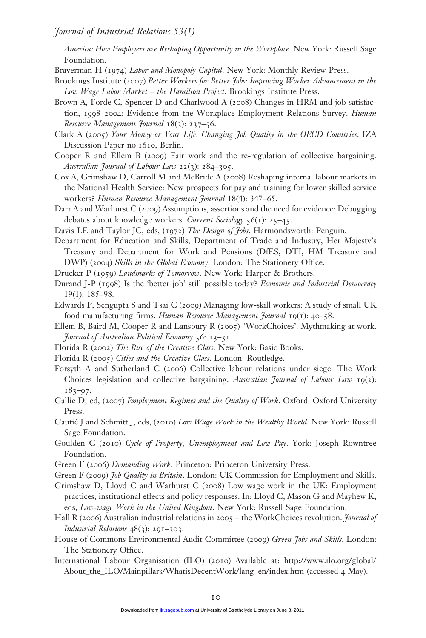Journal of Industrial Relations 53(1)

America: How Employers are Reshaping Opportunity in the Workplace. New York: Russell Sage Foundation.

- Braverman H (1974) Labor and Monopoly Capital. New York: Monthly Review Press.
- Brookings Institute (2007) Better Workers for Better Jobs: Improving Worker Advancement in the Low Wage Labor Market – the Hamilton Project. Brookings Institute Press.
- Brown A, Forde C, Spencer D and Charlwood A (2008) Changes in HRM and job satisfaction, 1998–2004: Evidence from the Workplace Employment Relations Survey. *Human* Resource Management Journal  $18(3)$ : 237-56.
- Clark A (2005) Your Money or Your Life: Changing Job Quality in the OECD Countries. IZA Discussion Paper no.1610, Berlin.
- Cooper R and Ellem B (2009) Fair work and the re-regulation of collective bargaining. Australian Journal of Labour Law 22(3): 284-305.
- Cox A, Grimshaw D, Carroll M and McBride A (2008) Reshaping internal labour markets in the National Health Service: New prospects for pay and training for lower skilled service workers? Human Resource Management Journal 18(4): 347–65.
- Darr A and Warhurst C (2009) Assumptions, assertions and the need for evidence: Debugging debates about knowledge workers. Current Sociology 56(1): 25-45.
- Davis LE and Taylor JC, eds, (1972) The Design of Jobs. Harmondsworth: Penguin.
- Department for Education and Skills, Department of Trade and Industry, Her Majesty's Treasury and Department for Work and Pensions (DfES, DTI, HM Treasury and DWP) (2004) Skills in the Global Economy. London: The Stationery Office.
- Drucker P (1959) Landmarks of Tomorrow. New York: Harper & Brothers.
- Durand J-P (1998) Is the 'better job' still possible today? Economic and Industrial Democracy 19(1): 185–98.
- Edwards P, Sengupta S and Tsai C (2009) Managing low-skill workers: A study of small UK food manufacturing firms. Human Resource Management Journal 19(1): 40–58.
- Ellem B, Baird M, Cooper R and Lansbury R (2005) 'WorkChoices': Mythmaking at work. Journal of Australian Political Economy 56: 13–31.
- Florida R (2002) The Rise of the Creative Class. New York: Basic Books.
- Florida R (2005) Cities and the Creative Class. London: Routledge.
- Forsyth A and Sutherland C (2006) Collective labour relations under siege: The Work Choices legislation and collective bargaining. Australian Journal of Labour Law 19(2): 183–97.
- Gallie D, ed, (2007) Employment Regimes and the Quality of Work. Oxford: Oxford University Press.
- Gautié J and Schmitt J, eds, (2010) Low Wage Work in the Wealthy World. New York: Russell Sage Foundation.
- Goulden C (2010) Cycle of Property, Unemployment and Low Pay. York: Joseph Rowntree Foundation.
- Green F (2006) Demanding Work. Princeton: Princeton University Press.

Green F (2009) Job Quality in Britain. London: UK Commission for Employment and Skills.

Grimshaw D, Lloyd C and Warhurst C (2008) Low wage work in the UK: Employment practices, institutional effects and policy responses. In: Lloyd C, Mason G and Mayhew K, eds, Low-wage Work in the United Kingdom. New York: Russell Sage Foundation.

- Hall R (2006) Australian industrial relations in 2005 the WorkChoices revolution. Journal of Industrial Relations  $48(3)$ : 291-303.
- House of Commons Environmental Audit Committee (2009) Green Jobs and Skills. London: The Stationery Office.
- International Labour Organisation (ILO) (2010) Available at: http://www.ilo.org/global/ About\_the\_ILO/Mainpillars/WhatisDecentWork/lang–en/index.htm (accessed 4 May).